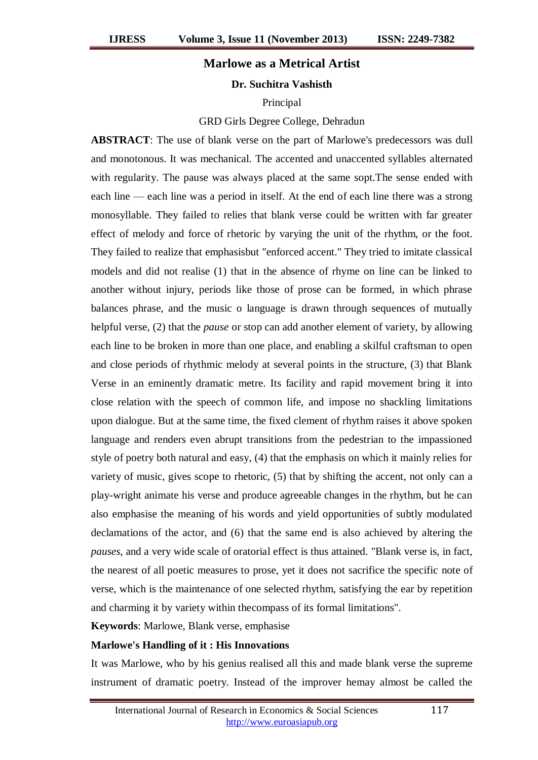# **Marlowe as a Metrical Artist**

### **Dr. Suchitra Vashisth**

### Principal

#### GRD Girls Degree College, Dehradun

**ABSTRACT**: The use of blank verse on the part of Marlowe's predecessors was dull and monotonous. It was mechanical. The accented and unaccented syllables alternated with regularity. The pause was always placed at the same sopt.The sense ended with each line — each line was a period in itself. At the end of each line there was a strong monosyllable. They failed to relies that blank verse could be written with far greater effect of melody and force of rhetoric by varying the unit of the rhythm, or the foot. They failed to realize that emphasisbut "enforced accent." They tried to imitate classical models and did not realise (1) that in the absence of rhyme on line can be linked to another without injury, periods like those of prose can be formed, in which phrase balances phrase, and the music o language is drawn through sequences of mutually helpful verse, (2) that the *pause* or stop can add another element of variety, by allowing each line to be broken in more than one place, and enabling a skilful craftsman to open and close periods of rhythmic melody at several points in the structure, (3) that Blank Verse in an eminently dramatic metre. Its facility and rapid movement bring it into close relation with the speech of common life, and impose no shackling limitations upon dialogue. But at the same time, the fixed clement of rhythm raises it above spoken language and renders even abrupt transitions from the pedestrian to the impassioned style of poetry both natural and easy, (4) that the emphasis on which it mainly relies for variety of music, gives scope to rhetoric, (5) that by shifting the accent, not only can a play-wright animate his verse and produce agreeable changes in the rhythm, but he can also emphasise the meaning of his words and yield opportunities of subtly modulated declamations of the actor, and (6) that the same end is also achieved by altering the *pauses*, and a very wide scale of oratorial effect is thus attained. "Blank verse is, in fact, the nearest of all poetic measures to prose, yet it does not sacrifice the specific note of verse, which is the maintenance of one selected rhythm, satisfying the ear by repetition and charming it by variety within thecompass of its formal limitations".

**Keywords**: Marlowe, Blank verse, emphasise

#### **Marlowe's Handling of it : His Innovations**

It was Marlowe, who by his genius realised all this and made blank verse the supreme instrument of dramatic poetry. Instead of the improver hemay almost be called the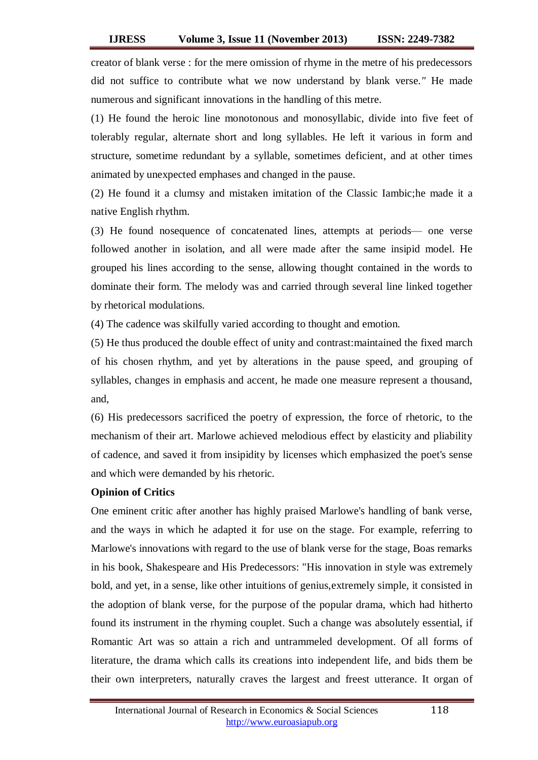creator of blank verse : for the mere omission of rhyme in the metre of his predecessors did not suffice to contribute what we now understand by blank verse*."* He made numerous and significant innovations in the handling of this metre.

(1) He found the heroic line monotonous and monosyllabic, divide into five feet of tolerably regular, alternate short and long syllables. He left it various in form and structure, sometime redundant by a syllable, sometimes deficient, and at other times animated by unexpected emphases and changed in the pause.

(2) He found it a clumsy and mistaken imitation of the Classic Iambic;he made it a native English rhythm.

(3) He found nosequence of concatenated lines, attempts at periods— one verse followed another in isolation, and all were made after the same insipid model. He grouped his lines according to the sense, allowing thought contained in the words to dominate their form. The melody was and carried through several line linked together by rhetorical modulations.

(4) The cadence was skilfully varied according to thought and emotion*.*

(5) He thus produced the double effect of unity and contrast:maintained the fixed march of his chosen rhythm, and yet by alterations in the pause speed, and grouping of syllables, changes in emphasis and accent, he made one measure represent a thousand, and,

(6) His predecessors sacrificed the poetry of expression, the force of rhetoric, to the mechanism of their art. Marlowe achieved melodious effect by elasticity and pliability of cadence, and saved it from insipidity by licenses which emphasized the poet's sense and which were demanded by his rhetoric.

## **Opinion of Critics**

One eminent critic after another has highly praised Marlowe's handling of bank verse, and the ways in which he adapted it for use on the stage. For example, referring to Marlowe's innovations with regard to the use of blank verse for the stage, Boas remarks in his book, Shakespeare and His Predecessors: "His innovation in style was extremely bold, and yet, in a sense, like other intuitions of genius,extremely simple, it consisted in the adoption of blank verse, for the purpose of the popular drama, which had hitherto found its instrument in the rhyming couplet. Such a change was absolutely essential, if Romantic Art was so attain a rich and untrammeled development. Of all forms of literature, the drama which calls its creations into independent life, and bids them be their own interpreters, naturally craves the largest and freest utterance. It organ of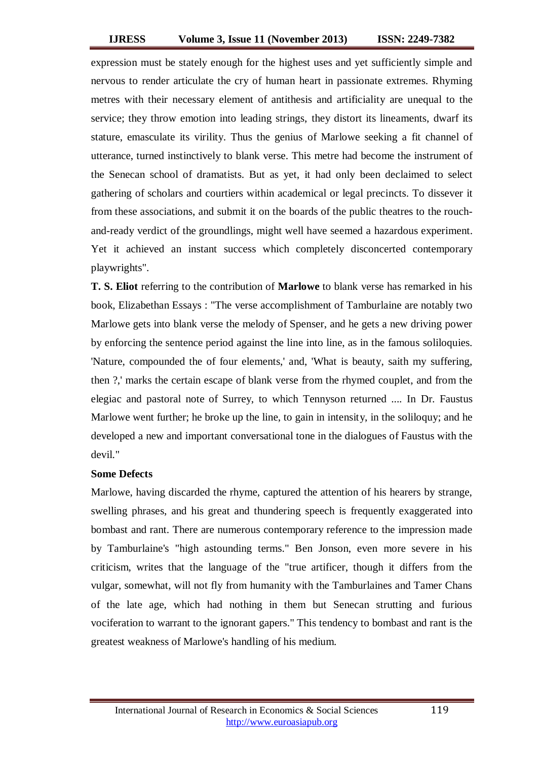expression must be stately enough for the highest uses and yet sufficiently simple and nervous to render articulate the cry of human heart in passionate extremes. Rhyming metres with their necessary element of antithesis and artificiality are unequal to the service; they throw emotion into leading strings, they distort its lineaments, dwarf its stature, emasculate its virility. Thus the genius of Marlowe seeking a fit channel of utterance, turned instinctively to blank verse. This metre had become the instrument of the Senecan school of dramatists. But as yet, it had only been declaimed to select gathering of scholars and courtiers within academical or legal precincts. To dissever it from these associations, and submit it on the boards of the public theatres to the rouchand-ready verdict of the groundlings, might well have seemed a hazardous experiment. Yet it achieved an instant success which completely disconcerted contemporary playwrights".

**T. S. Eliot** referring to the contribution of **Marlowe** to blank verse has remarked in his book, Elizabethan Essays : "The verse accomplishment of Tamburlaine are notably two Marlowe gets into blank verse the melody of Spenser, and he gets a new driving power by enforcing the sentence period against the line into line, as in the famous soliloquies. 'Nature, compounded the of four elements,' and, 'What is beauty, saith my suffering, then ?,' marks the certain escape of blank verse from the rhymed couplet, and from the elegiac and pastoral note of Surrey, to which Tennyson returned .... In Dr. Faustus Marlowe went further; he broke up the line, to gain in intensity, in the soliloquy; and he developed a new and important conversational tone in the dialogues of Faustus with the devil."

# **Some Defects**

Marlowe, having discarded the rhyme, captured the attention of his hearers by strange, swelling phrases, and his great and thundering speech is frequently exaggerated into bombast and rant. There are numerous contemporary reference to the impression made by Tamburlaine's "high astounding terms." Ben Jonson, even more severe in his criticism, writes that the language of the "true artificer, though it differs from the vulgar, somewhat, will not fly from humanity with the Tamburlaines and Tamer Chans of the late age, which had nothing in them but Senecan strutting and furious vociferation to warrant to the ignorant gapers." This tendency to bombast and rant is the greatest weakness of Marlowe's handling of his medium.